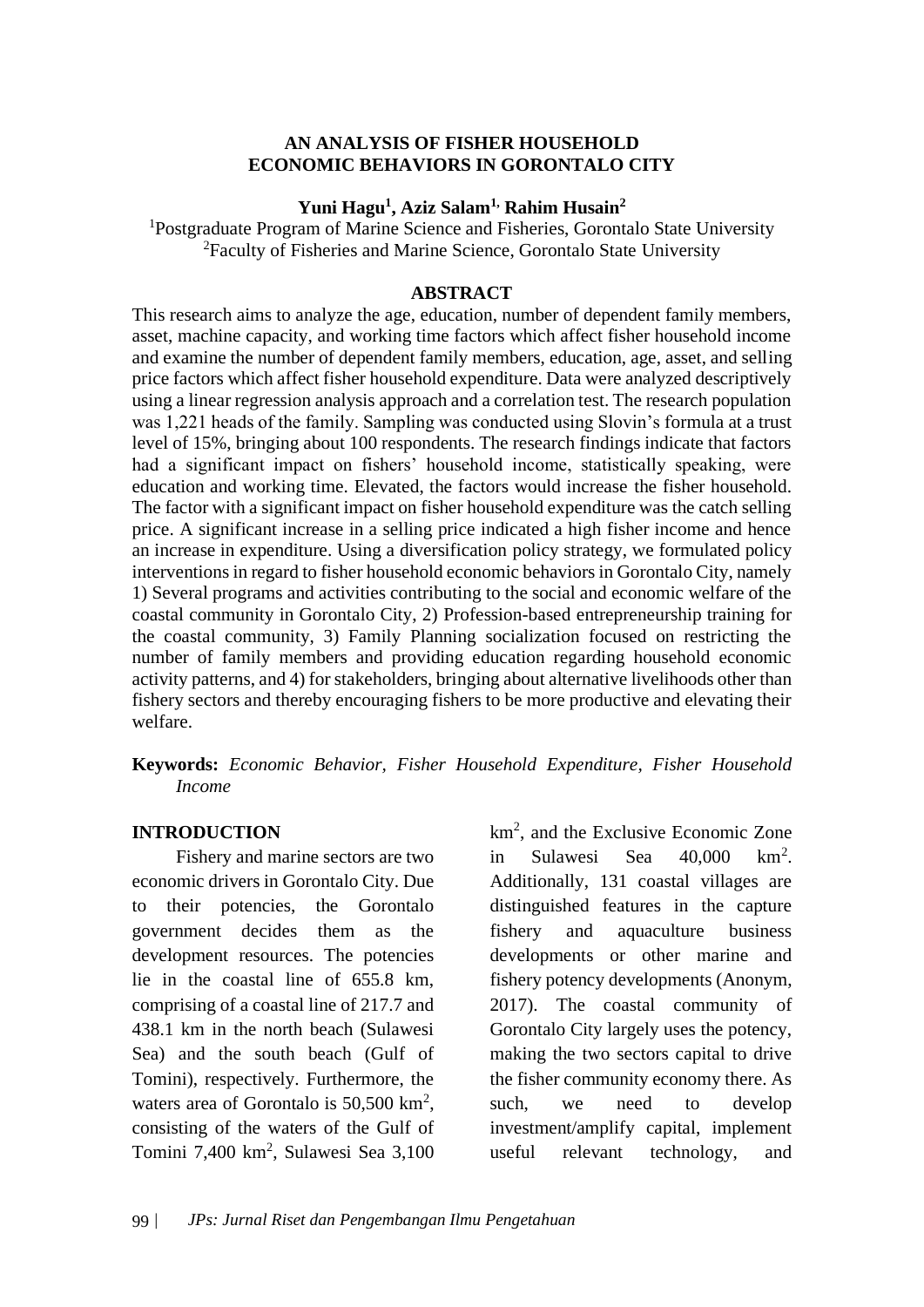#### **AN ANALYSIS OF FISHER HOUSEHOLD ECONOMIC BEHAVIORS IN GORONTALO CITY**

**Yuni Hagu<sup>1</sup> , Aziz Salam1, Rahim Husain<sup>2</sup>**

<sup>1</sup>Postgraduate Program of Marine Science and Fisheries, Gorontalo State University <sup>2</sup>Faculty of Fisheries and Marine Science, Gorontalo State University

#### **ABSTRACT**

This research aims to analyze the age, education, number of dependent family members, asset, machine capacity, and working time factors which affect fisher household income and examine the number of dependent family members, education, age, asset, and selling price factors which affect fisher household expenditure. Data were analyzed descriptively using a linear regression analysis approach and a correlation test. The research population was 1,221 heads of the family. Sampling was conducted using Slovin's formula at a trust level of 15%, bringing about 100 respondents. The research findings indicate that factors had a significant impact on fishers' household income, statistically speaking, were education and working time. Elevated, the factors would increase the fisher household. The factor with a significant impact on fisher household expenditure was the catch selling price. A significant increase in a selling price indicated a high fisher income and hence an increase in expenditure. Using a diversification policy strategy, we formulated policy interventions in regard to fisher household economic behaviors in Gorontalo City, namely 1) Several programs and activities contributing to the social and economic welfare of the coastal community in Gorontalo City, 2) Profession-based entrepreneurship training for the coastal community, 3) Family Planning socialization focused on restricting the number of family members and providing education regarding household economic activity patterns, and 4) for stakeholders, bringing about alternative livelihoods other than fishery sectors and thereby encouraging fishers to be more productive and elevating their welfare.

**Keywords:** *Economic Behavior, Fisher Household Expenditure, Fisher Household Income*

#### **INTRODUCTION**

Fishery and marine sectors are two economic drivers in Gorontalo City. Due to their potencies, the Gorontalo government decides them as the development resources. The potencies lie in the coastal line of 655.8 km, comprising of a coastal line of 217.7 and 438.1 km in the north beach (Sulawesi Sea) and the south beach (Gulf of Tomini), respectively. Furthermore, the waters area of Gorontalo is  $50,500 \text{ km}^2$ , consisting of the waters of the Gulf of Tomini 7,400 km<sup>2</sup>, Sulawesi Sea 3,100 km<sup>2</sup> , and the Exclusive Economic Zone in Sulawesi Sea 40,000  $km^2$ . Additionally, 131 coastal villages are distinguished features in the capture fishery and aquaculture business developments or other marine and fishery potency developments (Anonym, 2017). The coastal community of Gorontalo City largely uses the potency, making the two sectors capital to drive the fisher community economy there. As such, we need to develop investment/amplify capital, implement useful relevant technology, and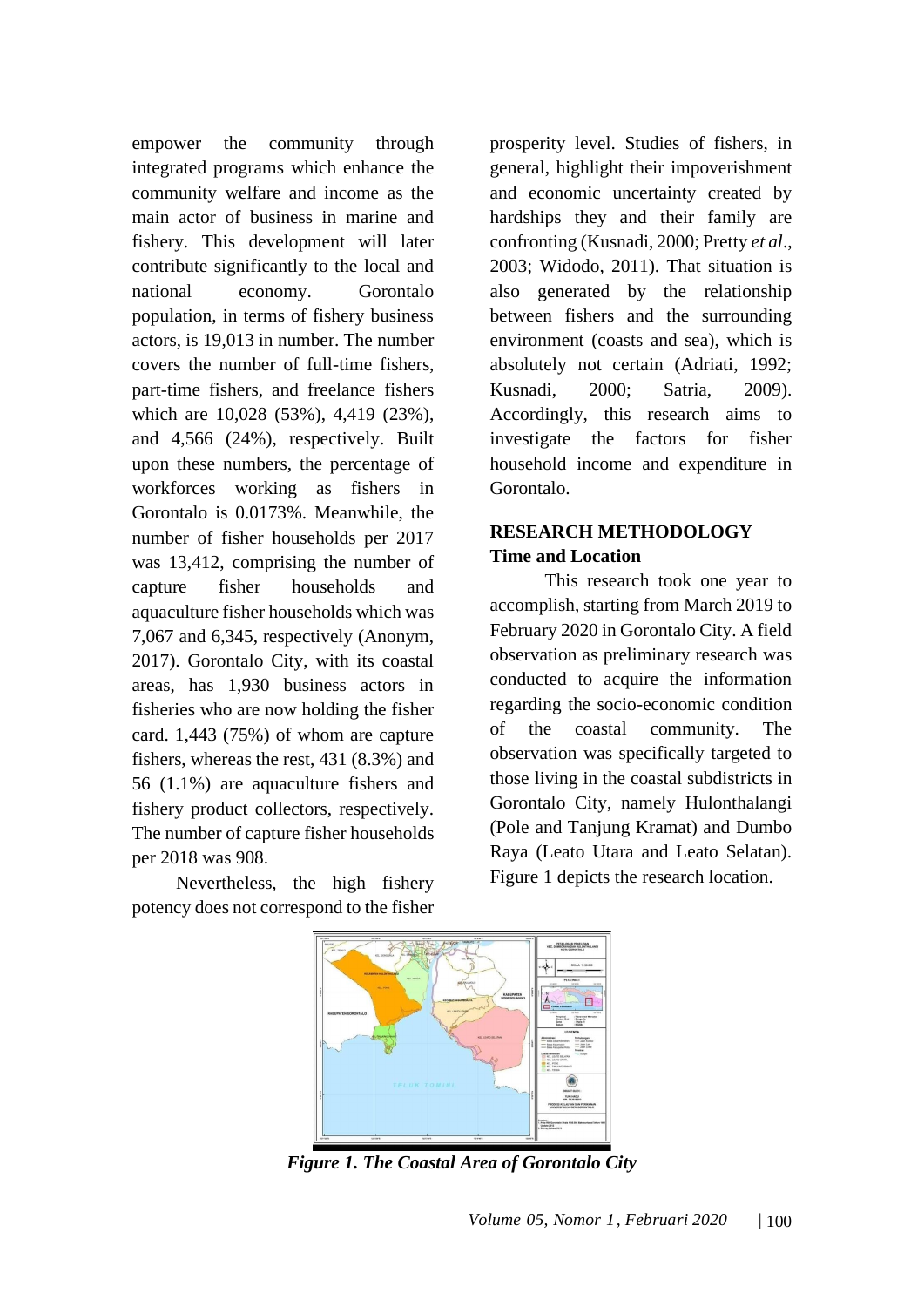empower the community through integrated programs which enhance the community welfare and income as the main actor of business in marine and fishery. This development will later contribute significantly to the local and national economy. Gorontalo population, in terms of fishery business actors, is 19,013 in number. The number covers the number of full-time fishers, part-time fishers, and freelance fishers which are 10,028 (53%), 4,419 (23%), and 4,566 (24%), respectively. Built upon these numbers, the percentage of workforces working as fishers in Gorontalo is 0.0173%. Meanwhile, the number of fisher households per 2017 was 13,412, comprising the number of capture fisher households and aquaculture fisher households which was 7,067 and 6,345, respectively (Anonym, 2017). Gorontalo City, with its coastal areas, has 1,930 business actors in fisheries who are now holding the fisher card. 1,443 (75%) of whom are capture fishers, whereas the rest, 431 (8.3%) and 56 (1.1%) are aquaculture fishers and fishery product collectors, respectively. The number of capture fisher households per 2018 was 908.

Nevertheless, the high fishery potency does not correspond to the fisher prosperity level. Studies of fishers, in general, highlight their impoverishment and economic uncertainty created by hardships they and their family are confronting (Kusnadi, 2000; Pretty *et al*., 2003; Widodo, 2011). That situation is also generated by the relationship between fishers and the surrounding environment (coasts and sea), which is absolutely not certain (Adriati, 1992; Kusnadi, 2000; Satria, 2009). Accordingly, this research aims to investigate the factors for fisher household income and expenditure in Gorontalo.

# **RESEARCH METHODOLOGY Time and Location**

This research took one year to accomplish, starting from March 2019 to February 2020 in Gorontalo City. A field observation as preliminary research was conducted to acquire the information regarding the socio-economic condition of the coastal community. The observation was specifically targeted to those living in the coastal subdistricts in Gorontalo City, namely Hulonthalangi (Pole and Tanjung Kramat) and Dumbo Raya (Leato Utara and Leato Selatan). Figure 1 depicts the research location.



*Figure 1. The Coastal Area of Gorontalo City*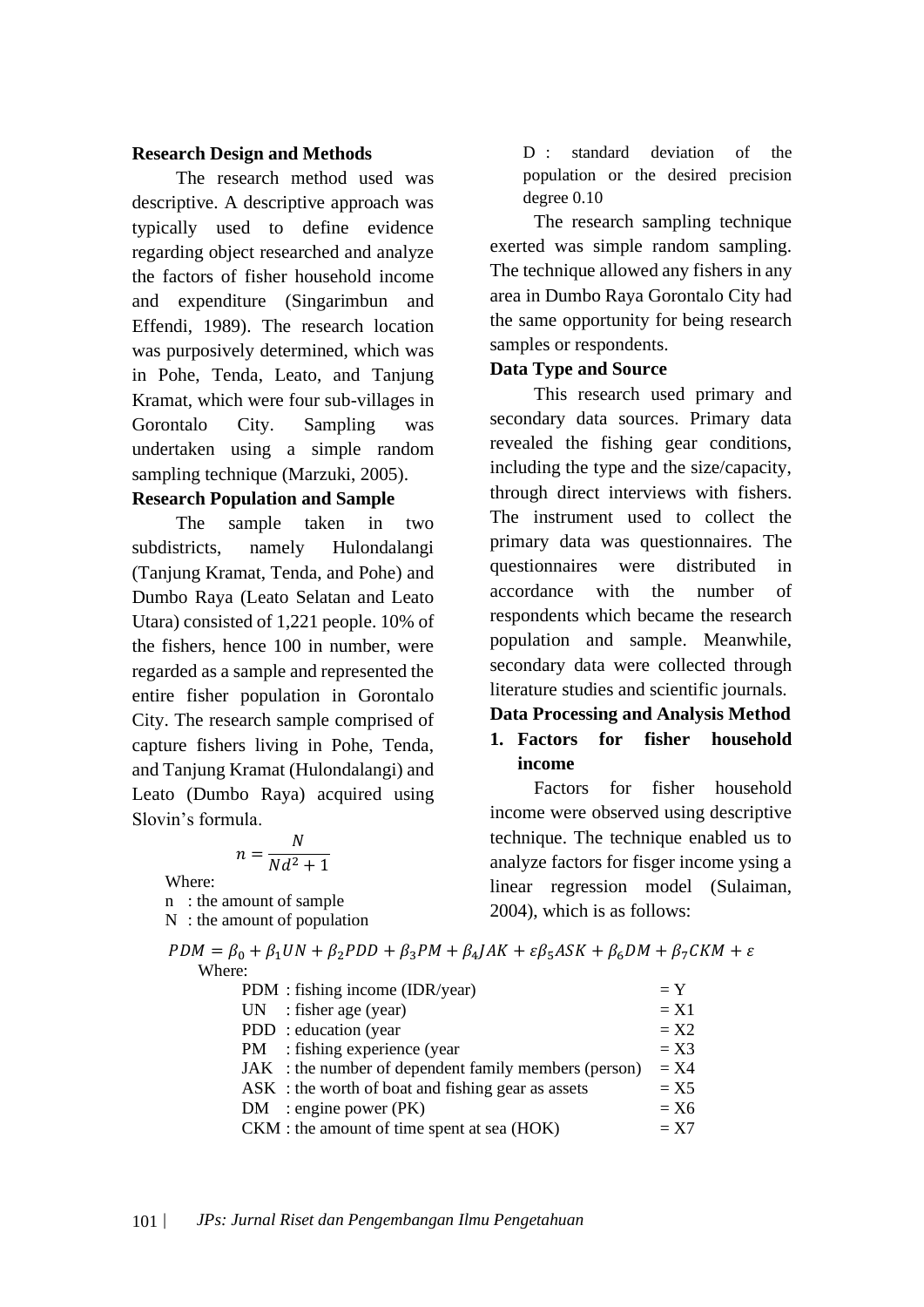## **Research Design and Methods**

The research method used was descriptive. A descriptive approach was typically used to define evidence regarding object researched and analyze the factors of fisher household income and expenditure (Singarimbun and Effendi, 1989). The research location was purposively determined, which was in Pohe, Tenda, Leato, and Tanjung Kramat, which were four sub-villages in Gorontalo City. Sampling was undertaken using a simple random sampling technique (Marzuki, 2005).

## **Research Population and Sample**

The sample taken in two subdistricts, namely Hulondalangi (Tanjung Kramat, Tenda, and Pohe) and Dumbo Raya (Leato Selatan and Leato Utara) consisted of 1,221 people. 10% of the fishers, hence 100 in number, were regarded as a sample and represented the entire fisher population in Gorontalo City. The research sample comprised of capture fishers living in Pohe, Tenda, and Tanjung Kramat (Hulondalangi) and Leato (Dumbo Raya) acquired using Slovin's formula.

$$
n = \frac{N}{Nd^2 + 1}
$$

Where:

n : the amount of sample

```
N : the amount of population
```
D · standard deviation of the population or the desired precision degree 0.10

The research sampling technique exerted was simple random sampling. The technique allowed any fishers in any area in Dumbo Raya Gorontalo City had the same opportunity for being research samples or respondents.

## **Data Type and Source**

This research used primary and secondary data sources. Primary data revealed the fishing gear conditions, including the type and the size/capacity, through direct interviews with fishers. The instrument used to collect the primary data was questionnaires. The questionnaires were distributed in accordance with the number of respondents which became the research population and sample. Meanwhile, secondary data were collected through literature studies and scientific journals.

# **Data Processing and Analysis Method 1. Factors for fisher household income**

Factors for fisher household income were observed using descriptive technique. The technique enabled us to analyze factors for fisger income ysing a linear regression model (Sulaiman, 2004), which is as follows:

| IU.                                                   |        |
|-------------------------------------------------------|--------|
| PDM: fishing income (IDR/year)                        | $= Y$  |
| $UN$ : fisher age (year)                              | $=X1$  |
| PDD : education (year                                 | $= X2$ |
| PM : fishing experience (year                         | $= X3$ |
| JAK : the number of dependent family members (person) | $= X4$ |
| ASK : the worth of boat and fishing gear as assets    | $= X5$ |
| $DM$ : engine power (PK)                              | $= X6$ |
| CKM : the amount of time spent at sea (HOK)           | $= X7$ |

 $PDM = \beta_0 + \beta_1 UN + \beta_2 PDD + \beta_3 PM + \beta_4 JAK + \varepsilon \beta_5 ASK + \beta_6 DM + \beta_7 CKM + \varepsilon$ Where: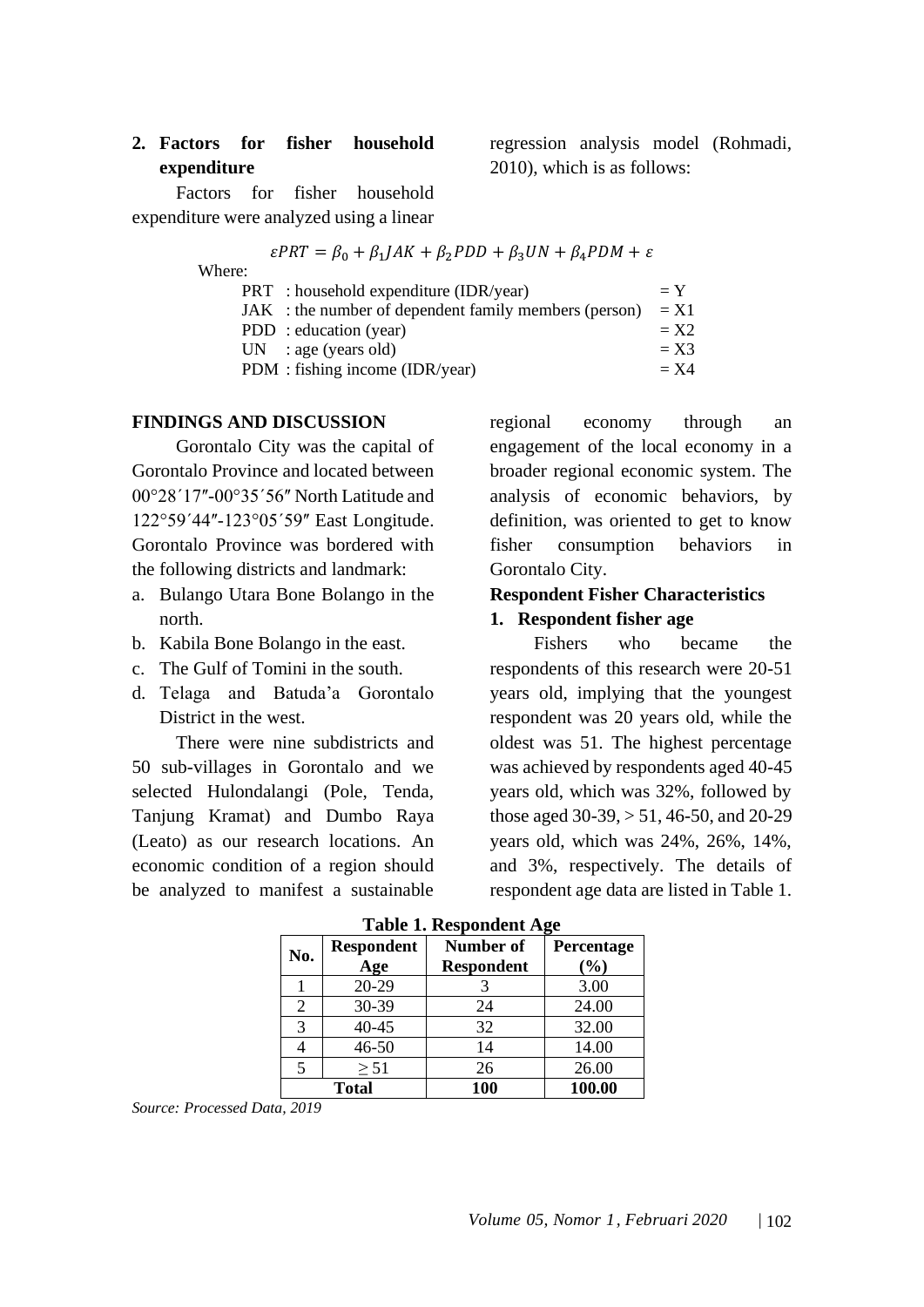## **2. Factors for fisher household expenditure**

regression analysis model (Rohmadi, 2010), which is as follows:

Factors for fisher household expenditure were analyzed using a linear

| $\epsilon PRT = \beta_0 + \beta_1 JAK + \beta_2 PDD + \beta_3 UN + \beta_4 PDM + \epsilon$ |        |
|--------------------------------------------------------------------------------------------|--------|
| Where:                                                                                     |        |
| PRT : household expenditure (IDR/year)                                                     | $= Y$  |
| JAK : the number of dependent family members (person)                                      | $= X1$ |
| PDD : education (year)                                                                     | $= X2$ |
| $UN$ : age (years old)                                                                     | $= X3$ |
| PDM: fishing income (IDR/year)                                                             | $= X4$ |

#### **FINDINGS AND DISCUSSION**

Gorontalo City was the capital of Gorontalo Province and located between 00°28′17″-00°35′56″ North Latitude and 122°59′44″-123°05′59″ East Longitude. Gorontalo Province was bordered with the following districts and landmark:

- a. Bulango Utara Bone Bolango in the north.
- b. Kabila Bone Bolango in the east.
- c. The Gulf of Tomini in the south.
- d. Telaga and Batuda'a Gorontalo District in the west.

There were nine subdistricts and 50 sub-villages in Gorontalo and we selected Hulondalangi (Pole, Tenda, Tanjung Kramat) and Dumbo Raya (Leato) as our research locations. An economic condition of a region should be analyzed to manifest a sustainable

regional economy through an engagement of the local economy in a broader regional economic system. The analysis of economic behaviors, by definition, was oriented to get to know fisher consumption behaviors in Gorontalo City.

#### **Respondent Fisher Characteristics**

#### **1. Respondent fisher age**

Fishers who became the respondents of this research were 20-51 years old, implying that the youngest respondent was 20 years old, while the oldest was 51. The highest percentage was achieved by respondents aged 40-45 years old, which was 32%, followed by those aged 30-39, > 51, 46-50, and 20-29 years old, which was 24%, 26%, 14%, and 3%, respectively. The details of respondent age data are listed in Table 1.

| Table 1. Respondent Age |                   |                   |            |  |
|-------------------------|-------------------|-------------------|------------|--|
| No.                     | <b>Respondent</b> | <b>Number of</b>  | Percentage |  |
|                         | Age               | <b>Respondent</b> | (%)        |  |
|                         | 20-29             |                   | 3.00       |  |
| 2                       | 30-39             | 24                | 24.00      |  |
| 3                       | 40-45             | 32                | 32.00      |  |
|                         | $46 - 50$         | 14                | 14.00      |  |
|                         | $\geq 51$         | 26                | 26.00      |  |
|                         | <b>Total</b>      | 100               | 100.00     |  |

**Table 1. Respondent Age**

*Source: Processed Data, 2019*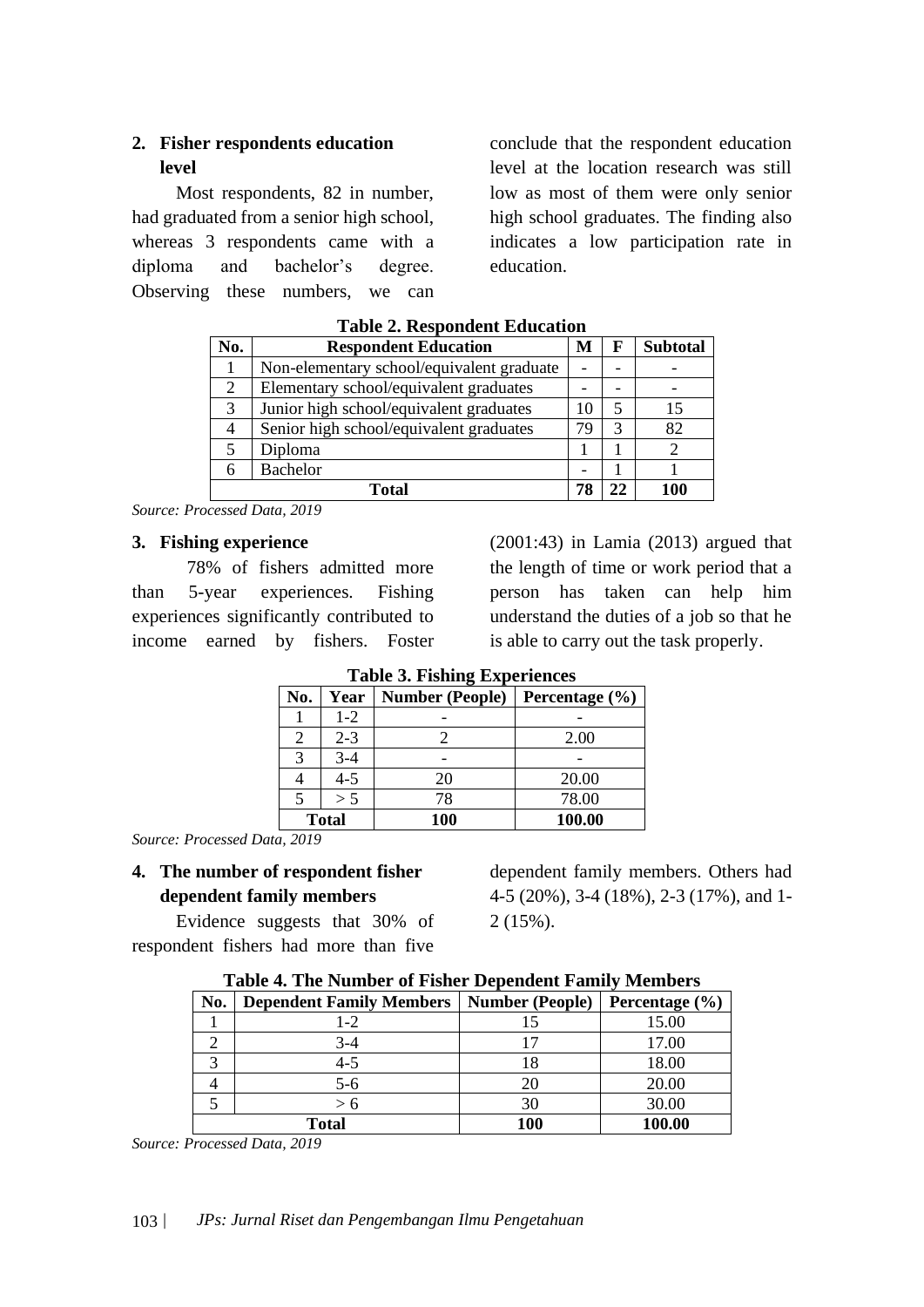## **2. Fisher respondents education level**

Most respondents, 82 in number, had graduated from a senior high school, whereas 3 respondents came with a diploma and bachelor's degree. Observing these numbers, we can conclude that the respondent education level at the location research was still low as most of them were only senior high school graduates. The finding also indicates a low participation rate in education.

| No.<br><b>Respondent Education</b> |                                           | М                        | F  | <b>Subtotal</b> |
|------------------------------------|-------------------------------------------|--------------------------|----|-----------------|
|                                    | Non-elementary school/equivalent graduate | $\overline{\phantom{0}}$ |    |                 |
|                                    | Elementary school/equivalent graduates    | -                        | -  |                 |
| 3                                  | Junior high school/equivalent graduates   | 10                       | 5  | 15              |
|                                    | Senior high school/equivalent graduates   | 79                       | 3  | 82              |
|                                    | Diploma                                   |                          |    |                 |
|                                    | <b>Bachelor</b>                           | $\overline{\phantom{0}}$ |    |                 |
|                                    | Total                                     | 78                       | 22 | 100             |

**Table 2. Respondent Education**

*Source: Processed Data, 2019*

## **3. Fishing experience**

78% of fishers admitted more than 5-year experiences. Fishing experiences significantly contributed to income earned by fishers. Foster

(2001:43) in Lamia (2013) argued that the length of time or work period that a person has taken can help him understand the duties of a job so that he is able to carry out the task properly.

| T able 5. FISHING EXPERIENCES |              |                        |                    |  |  |
|-------------------------------|--------------|------------------------|--------------------|--|--|
| No.                           | Year         | <b>Number (People)</b> | Percentage $(\% )$ |  |  |
|                               | $1-2$        |                        |                    |  |  |
|                               | $2 - 3$      |                        | 2.00               |  |  |
| 3                             | $3 - 4$      |                        |                    |  |  |
|                               | $4 - 5$      | 20                     | 20.00              |  |  |
|                               | > 5          | 78                     | 78.00              |  |  |
|                               | <b>Total</b> | 100                    | 100.00             |  |  |

**Table 3. Fishing Experiences**

*Source: Processed Data, 2019*

# **4. The number of respondent fisher dependent family members**

Evidence suggests that 30% of respondent fishers had more than five dependent family members. Others had 4-5 (20%), 3-4 (18%), 2-3 (17%), and 1- 2 (15%).

|  |  |  |  | <b>Table 4. The Number of Fisher Dependent Family Members</b> |
|--|--|--|--|---------------------------------------------------------------|
|  |  |  |  |                                                               |

| No. | <b>Dependent Family Members</b> | <b>Number (People)</b> | Percentage $(\% )$ |
|-----|---------------------------------|------------------------|--------------------|
|     | 1-2                             |                        | 15.00              |
|     | 3-4                             |                        | 17.00              |
|     | $4 - 5$                         | 18                     | 18.00              |
|     | $5 - 6$                         |                        | 20.00              |
|     |                                 | 30                     | 30.00              |
|     | <b>Total</b>                    | 100                    | 100.00             |

*Source: Processed Data, 2019*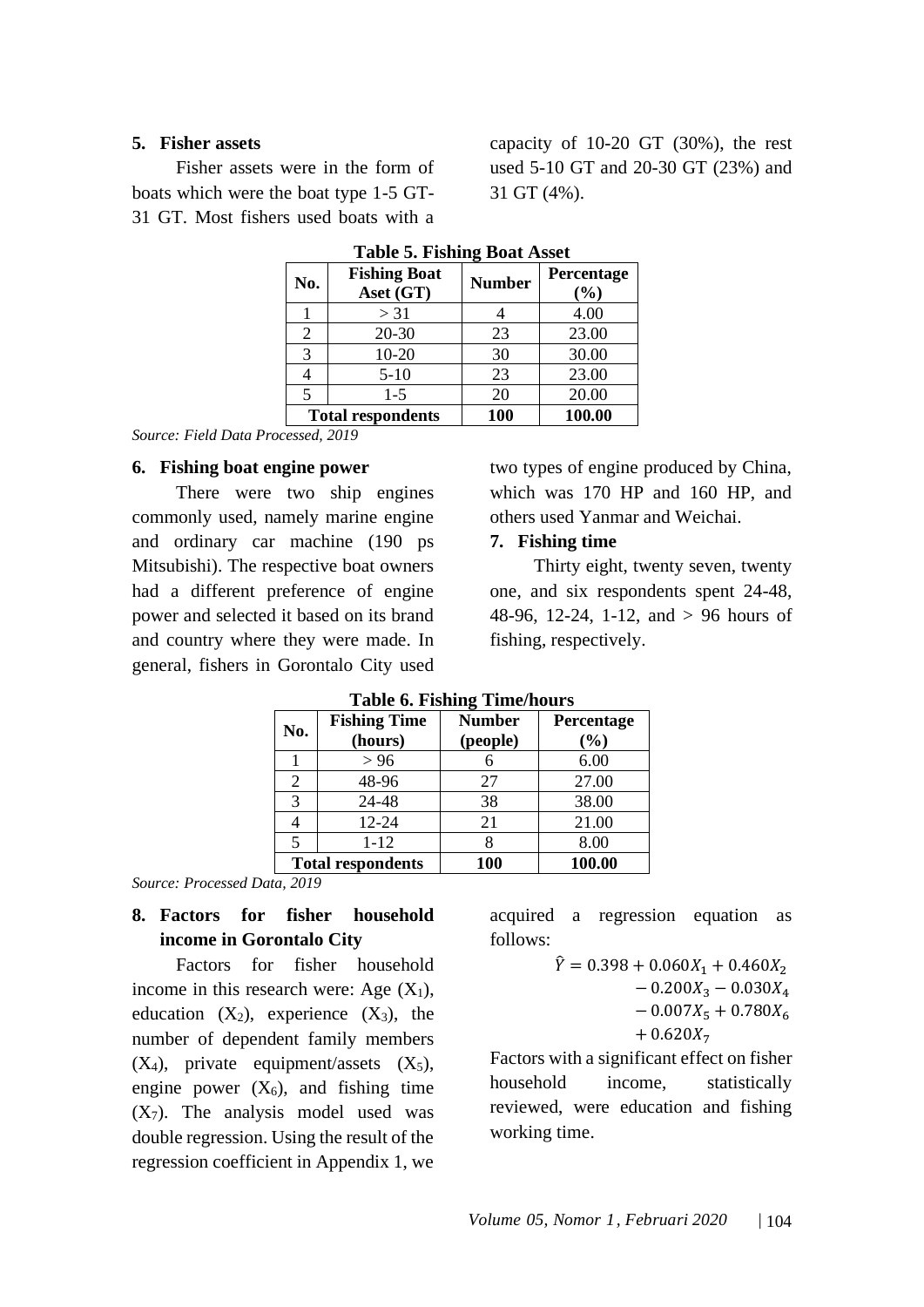#### **5. Fisher assets**

Fisher assets were in the form of boats which were the boat type 1-5 GT-31 GT. Most fishers used boats with a

capacity of 10-20 GT (30%), the rest used 5-10 GT and 20-30 GT (23%) and 31 GT (4%).

| 4.00   |
|--------|
| 23.00  |
| 30.00  |
| 23.00  |
| 20.00  |
| 100.00 |
|        |

**Table 5. Fishing Boat Asset**

*Source: Field Data Processed, 2019*

#### **6. Fishing boat engine power**

There were two ship engines commonly used, namely marine engine and ordinary car machine (190 ps Mitsubishi). The respective boat owners had a different preference of engine power and selected it based on its brand and country where they were made. In general, fishers in Gorontalo City used two types of engine produced by China, which was 170 HP and 160 HP, and others used Yanmar and Weichai.

## **7. Fishing time**

Thirty eight, twenty seven, twenty one, and six respondents spent 24-48, 48-96, 12-24, 1-12, and  $> 96$  hours of fishing, respectively.

| No. | <b>Fishing Time</b><br>(hours) | <b>Number</b><br>(people) | Percentage<br>(%) |
|-----|--------------------------------|---------------------------|-------------------|
|     | > 96                           |                           | 6.00              |
| 2   | 48-96                          | 27                        | 27.00             |
| 3   | 24-48                          | 38                        | 38.00             |
|     | $12 - 24$                      | 21                        | 21.00             |
| 5   | $1 - 12$                       |                           | 8.00              |
|     | <b>Total respondents</b>       | 100                       | 100.00            |

#### **Table 6. Fishing Time/hours**

*Source: Processed Data, 2019*

## **8. Factors for fisher household income in Gorontalo City**

Factors for fisher household income in this research were: Age  $(X_1)$ , education  $(X_2)$ , experience  $(X_3)$ , the number of dependent family members  $(X_4)$ , private equipment/assets  $(X_5)$ , engine power  $(X_6)$ , and fishing time  $(X<sub>7</sub>)$ . The analysis model used was double regression. Using the result of the regression coefficient in Appendix 1, we

acquired a regression equation as follows:

$$
\hat{Y} = 0.398 + 0.060X_1 + 0.460X_2 - 0.200X_3 - 0.030X_4 - 0.007X_5 + 0.780X_6 + 0.620X_7
$$

Factors with a significant effect on fisher household income, statistically reviewed, were education and fishing working time.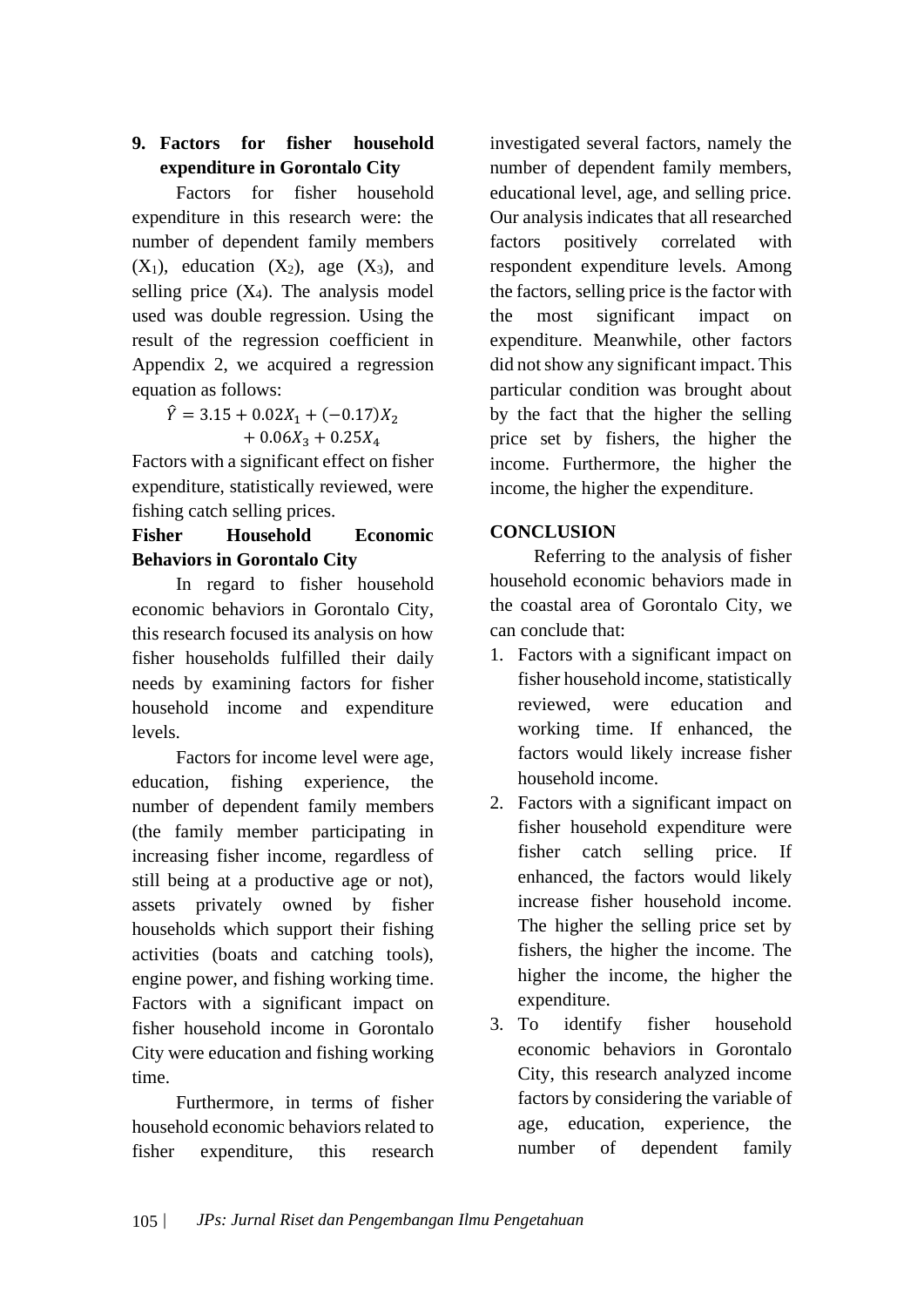# **9. Factors for fisher household expenditure in Gorontalo City**

Factors for fisher household expenditure in this research were: the number of dependent family members  $(X_1)$ , education  $(X_2)$ , age  $(X_3)$ , and selling price  $(X_4)$ . The analysis model used was double regression. Using the result of the regression coefficient in Appendix 2, we acquired a regression equation as follows:

$$
\hat{Y} = 3.15 + 0.02X_1 + (-0.17)X_2
$$
  
+ 0.06X\_3 + 0.25X\_4

Factors with a significant effect on fisher expenditure, statistically reviewed, were fishing catch selling prices.

# **Fisher Household Economic Behaviors in Gorontalo City**

In regard to fisher household economic behaviors in Gorontalo City, this research focused its analysis on how fisher households fulfilled their daily needs by examining factors for fisher household income and expenditure levels.

Factors for income level were age, education, fishing experience, the number of dependent family members (the family member participating in increasing fisher income, regardless of still being at a productive age or not), assets privately owned by fisher households which support their fishing activities (boats and catching tools), engine power, and fishing working time. Factors with a significant impact on fisher household income in Gorontalo City were education and fishing working time.

Furthermore, in terms of fisher household economic behaviors related to fisher expenditure, this research investigated several factors, namely the number of dependent family members, educational level, age, and selling price. Our analysis indicates that all researched factors positively correlated with respondent expenditure levels. Among the factors, selling price is the factor with the most significant impact on expenditure. Meanwhile, other factors did not show any significant impact. This particular condition was brought about by the fact that the higher the selling price set by fishers, the higher the income. Furthermore, the higher the income, the higher the expenditure.

# **CONCLUSION**

Referring to the analysis of fisher household economic behaviors made in the coastal area of Gorontalo City, we can conclude that:

- 1. Factors with a significant impact on fisher household income, statistically reviewed, were education and working time. If enhanced, the factors would likely increase fisher household income.
- 2. Factors with a significant impact on fisher household expenditure were fisher catch selling price. If enhanced, the factors would likely increase fisher household income. The higher the selling price set by fishers, the higher the income. The higher the income, the higher the expenditure.
- 3. To identify fisher household economic behaviors in Gorontalo City, this research analyzed income factors by considering the variable of age, education, experience, the number of dependent family